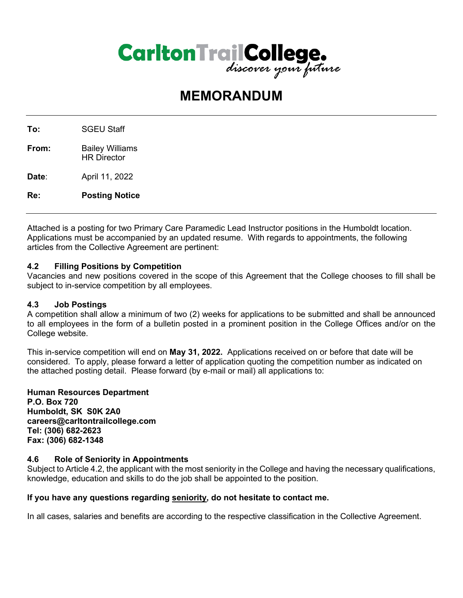

# **MEMORANDUM**

To: SGEU Staff **From:** Bailey Williams HR Director **Date**: April 11, 2022 **Re: Posting Notice**

Attached is a posting for two Primary Care Paramedic Lead Instructor positions in the Humboldt location. Applications must be accompanied by an updated resume. With regards to appointments, the following articles from the Collective Agreement are pertinent:

# **4.2 Filling Positions by Competition**

Vacancies and new positions covered in the scope of this Agreement that the College chooses to fill shall be subject to in-service competition by all employees.

# **4.3 Job Postings**

A competition shall allow a minimum of two (2) weeks for applications to be submitted and shall be announced to all employees in the form of a bulletin posted in a prominent position in the College Offices and/or on the College website.

This in-service competition will end on **May 31, 2022.** Applications received on or before that date will be considered. To apply, please forward a letter of application quoting the competition number as indicated on the attached posting detail. Please forward (by e-mail or mail) all applications to:

**Human Resources Department P.O. Box 720 Humboldt, SK S0K 2A0 careers@carltontrailcollege.com Tel: (306) 682-2623 Fax: (306) 682-1348**

# **4.6 Role of Seniority in Appointments**

Subject to Article 4.2, the applicant with the most seniority in the College and having the necessary qualifications, knowledge, education and skills to do the job shall be appointed to the position.

# **If you have any questions regarding seniority, do not hesitate to contact me.**

In all cases, salaries and benefits are according to the respective classification in the Collective Agreement.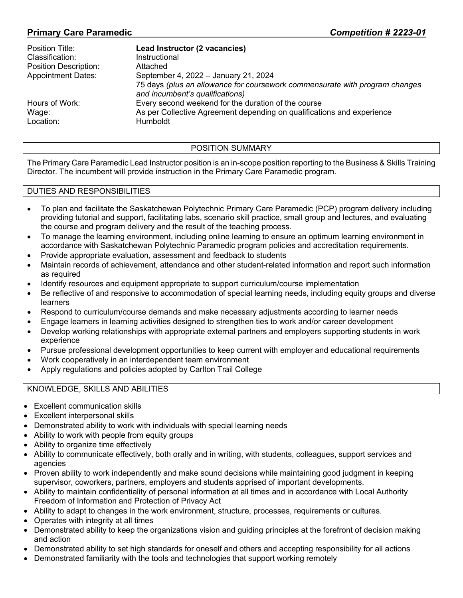# **Primary Care Paramedic** *Competition # 2223-01*

| Lead Instructor (2 vacancies)                                                                                  |
|----------------------------------------------------------------------------------------------------------------|
| Instructional                                                                                                  |
| Attached                                                                                                       |
| September 4, 2022 - January 21, 2024                                                                           |
| 75 days (plus an allowance for coursework commensurate with program changes<br>and incumbent's qualifications) |
| Every second weekend for the duration of the course                                                            |
| As per Collective Agreement depending on qualifications and experience                                         |
| Humboldt                                                                                                       |
|                                                                                                                |

#### POSITION SUMMARY

The Primary Care Paramedic Lead Instructor position is an in-scope position reporting to the Business & Skills Training Director. The incumbent will provide instruction in the Primary Care Paramedic program.

#### DUTIES AND RESPONSIBILITIES

- To plan and facilitate the Saskatchewan Polytechnic Primary Care Paramedic (PCP) program delivery including providing tutorial and support, facilitating labs, scenario skill practice, small group and lectures, and evaluating the course and program delivery and the result of the teaching process.
- To manage the learning environment, including online learning to ensure an optimum learning environment in accordance with Saskatchewan Polytechnic Paramedic program policies and accreditation requirements.
- Provide appropriate evaluation, assessment and feedback to students
- Maintain records of achievement, attendance and other student-related information and report such information as required
- Identify resources and equipment appropriate to support curriculum/course implementation
- Be reflective of and responsive to accommodation of special learning needs, including equity groups and diverse learners
- Respond to curriculum/course demands and make necessary adjustments according to learner needs
- Engage learners in learning activities designed to strengthen ties to work and/or career development
- Develop working relationships with appropriate external partners and employers supporting students in work experience
- Pursue professional development opportunities to keep current with employer and educational requirements
- Work cooperatively in an interdependent team environment
- Apply regulations and policies adopted by Carlton Trail College

#### KNOWLEDGE, SKILLS AND ABILITIES

- Excellent communication skills
- Excellent interpersonal skills
- Demonstrated ability to work with individuals with special learning needs
- Ability to work with people from equity groups
- Ability to organize time effectively
- Ability to communicate effectively, both orally and in writing, with students, colleagues, support services and agencies
- Proven ability to work independently and make sound decisions while maintaining good judgment in keeping supervisor, coworkers, partners, employers and students apprised of important developments.
- Ability to maintain confidentiality of personal information at all times and in accordance with Local Authority Freedom of Information and Protection of Privacy Act
- Ability to adapt to changes in the work environment, structure, processes, requirements or cultures.
- Operates with integrity at all times
- Demonstrated ability to keep the organizations vision and guiding principles at the forefront of decision making and action
- Demonstrated ability to set high standards for oneself and others and accepting responsibility for all actions
- Demonstrated familiarity with the tools and technologies that support working remotely